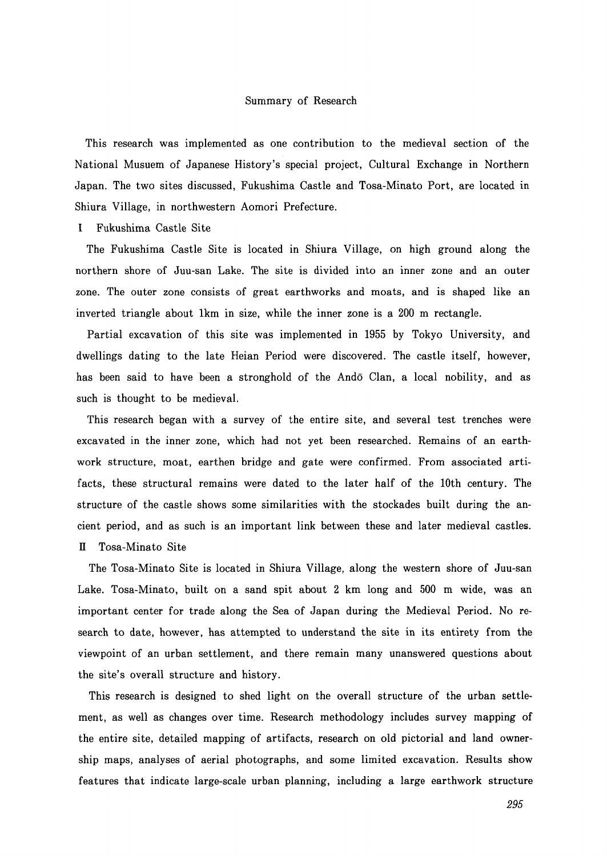## Summary of Research

This research was implemented as one contribution to the medieval section of the National Musuem of Japanese History's special project, Cultural Exchange in Northern Japan. The two sites discussed, Fukushima Castle and Tosa-Minato Port, are located in Shiura Village, in northwestern Aomori Prefecture.

## I Fukushima Castle Site

The Fukushima Castle Site is located in Shiura Village, on high ground along the northern shore of Juu-san Lake. The site is divided into an inner zone and an outer zone. The outer zone consists of great earthworks and moats, and is shaped like an inverted triangle about lkm in size, while the inner zone is a 200 m rectangle.

Partial excavation of this site was implemented in 1955 by Tokyo University, and dwellings dating to the late Heian Period were discovered. The castle itself, however, has been said to have been a stronghold of the Ando Clan, a local nobility, and as such is thought to be medieval.

This research began with a survey of the entire site, and several test trenches were excavated in the inner zone, which had not yet been researched. Remains of an earthwork structure, moat, earthen bridge and gate were confirmed. From associated artifacts, these structural remains were dated to the later half of the 10th century. The structure of the castle shows some similarities with the stockades built during the ancient period, and as such is an important link between these and later medieval castles. II Tosa-Minato Site

The Tosa-Minato Site is located in Shiura Village, along the western shore of Juu-san Lake. Tosa-Minato, built on a sand spit about 2 km long and 500 m wide, was an important center for trade along the Sea of Japan during the Medieval Period. No research to date, however, has attempted to understand the site in its entirety from the viewpoint of an urban settlement, and there remain many unanswered questions about the site's overall structure and history.

This research is designed to shed light on the overall structure of the urban settlement, as well as changes over time. Research methodology includes survey mapping of the entire site, detailed mapping of artifacts, research on old pictorial and land ownership maps, analyses of aerial photographs, and some limited excavation. Results show features that indicate large-scale urban planning, including a large earthwork structure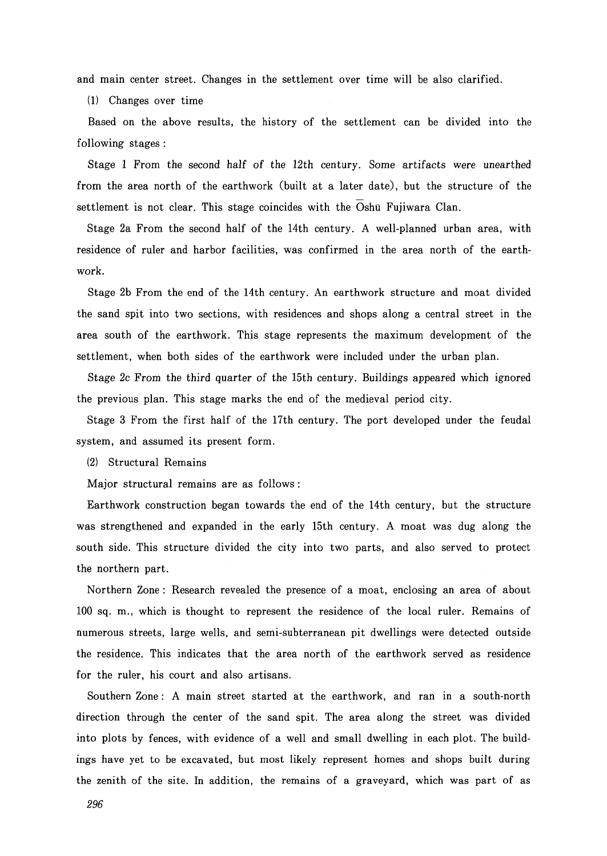and main center street. Changes in the settlement over time will be also clarified.

(1) Changes over time

Based on the above results, the history of the settlement can be divided into the following stages :

Stage 1 From the second half of the 12th century. Some artifacts were unearthed from the area north of the earthwork (built at a later date), but the structure of the settlement is not clear. This stage coincides with the Oshu Fujiwara Clan.

Stage 2a From the second half of the 14th century. A well-planned urban area, with residence of ruler and harbor facilities, was confirmed in the area north of the earthwork.

Stage 2b From the end of the 14th century. An earthwork structure and moat divided the sand spit into two sections, with residences and shops along a central street in the area south of the earthwork. This stage represents the maximum development of the settlement, when both sides of the earthwork were included under the urban plan.

Stage 2c From the third quarter of the 15th century. Buildings appeared which ignored the previous plan. This stage marks the end of the medieval period city.

Stage 3 From the first half of the 17th century. The port developed under the feudal system, and assumed its present form.

(2) Structural Remains

Major structural remains are as follows :

Earthwork construction began towards the end of the 14th century, but the structure was strengthened and expanded in the early 15th century. A moat was dug along the south side. This structure divided the city into two parts, and also served to protect the northern part.

Northern Zone: Research revealed the presence of a moat, enclosing an area of about 100 sq. m., which is thought to represent the residence of the local ruler. Remains of numerous streets, large wells, and semi-subterranean pit dwellings were detected outside the residence. This indicates that the area north of the earthwork served as residence for the ruler, his court and also artisans.

Southern Zone : A main street started at the earthwork, and ran in a south-north direction through the center of the sand spit. The area along the street was divided into plots by fences, with evidence of a well and small dwelling in each plot. The buildings have yet to be excavated, but most likely represent homes and shops built during the zenith of the site. In addition, the remains of a graveyard, which was part of as